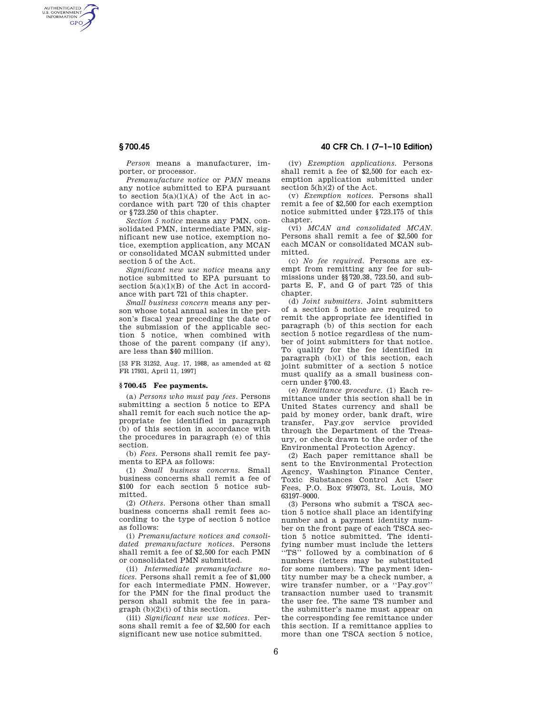AUTHENTICATED<br>U.S. GOVERNMENT<br>INFORMATION **GPO** 

> *Person* means a manufacturer, importer, or processor.

*Premanufacture notice* or *PMN* means any notice submitted to EPA pursuant to section  $5(a)(1)(A)$  of the Act in accordance with part 720 of this chapter or §723.250 of this chapter.

*Section 5 notice* means any PMN, consolidated PMN, intermediate PMN, significant new use notice, exemption notice, exemption application, any MCAN or consolidated MCAN submitted under section 5 of the Act.

*Significant new use notice* means any notice submitted to EPA pursuant to section  $5(a)(1)(B)$  of the Act in accordance with part 721 of this chapter.

*Small business concern* means any person whose total annual sales in the person's fiscal year preceding the date of the submission of the applicable section 5 notice, when combined with those of the parent company (if any), are less than \$40 million.

[53 FR 31252, Aug. 17, 1988, as amended at 62 FR 17931, April 11, 1997]

## **§ 700.45 Fee payments.**

(a) *Persons who must pay fees.* Persons submitting a section 5 notice to EPA shall remit for each such notice the appropriate fee identified in paragraph (b) of this section in accordance with the procedures in paragraph (e) of this section.

(b) *Fees.* Persons shall remit fee payments to EPA as follows:

(1) *Small business concerns.* Small business concerns shall remit a fee of \$100 for each section 5 notice submitted.

(2) *Others.* Persons other than small business concerns shall remit fees according to the type of section 5 notice as follows:

(i) *Premanufacture notices and consolidated premanufacture notices.* Persons shall remit a fee of \$2,500 for each PMN or consolidated PMN submitted.

(ii) *Intermediate premanufacture notices.* Persons shall remit a fee of \$1,000 for each intermediate PMN. However, for the PMN for the final product the person shall submit the fee in paragraph (b)(2)(i) of this section.

(iii) *Significant new use notices.* Persons shall remit a fee of \$2,500 for each significant new use notice submitted.

## **§ 700.45 40 CFR Ch. I (7–1–10 Edition)**

(iv) *Exemption applications.* Persons shall remit a fee of \$2,500 for each exemption application submitted under section 5(h)(2) of the Act.

(v) *Exemption notices.* Persons shall remit a fee of \$2,500 for each exemption notice submitted under §723.175 of this chapter.

(vi) *MCAN and consolidated MCAN.*  Persons shall remit a fee of \$2,500 for each MCAN or consolidated MCAN submitted.

(c) *No fee required.* Persons are exempt from remitting any fee for submissions under §§720.38, 723.50, and subparts E, F, and G of part 725 of this chapter.

(d) *Joint submitters.* Joint submitters of a section 5 notice are required to remit the appropriate fee identified in paragraph (b) of this section for each section 5 notice regardless of the number of joint submitters for that notice. To qualify for the fee identified in paragraph (b)(1) of this section, each joint submitter of a section 5 notice must qualify as a small business concern under §700.43.

(e) *Remittance procedure.* (1) Each remittance under this section shall be in United States currency and shall be paid by money order, bank draft, wire transfer, Pay.gov service provided through the Department of the Treasury, or check drawn to the order of the Environmental Protection Agency.

(2) Each paper remittance shall be sent to the Environmental Protection Agency, Washington Finance Center, Toxic Substances Control Act User Fees, P.O. Box 979073, St. Louis, MO 63197–9000.

(3) Persons who submit a TSCA section 5 notice shall place an identifying number and a payment identity number on the front page of each TSCA section 5 notice submitted. The identifying number must include the letters ''TS'' followed by a combination of 6 numbers (letters may be substituted for some numbers). The payment identity number may be a check number, a wire transfer number, or a ''Pay.gov'' transaction number used to transmit the user fee. The same TS number and the submitter's name must appear on the corresponding fee remittance under this section. If a remittance applies to more than one TSCA section 5 notice,